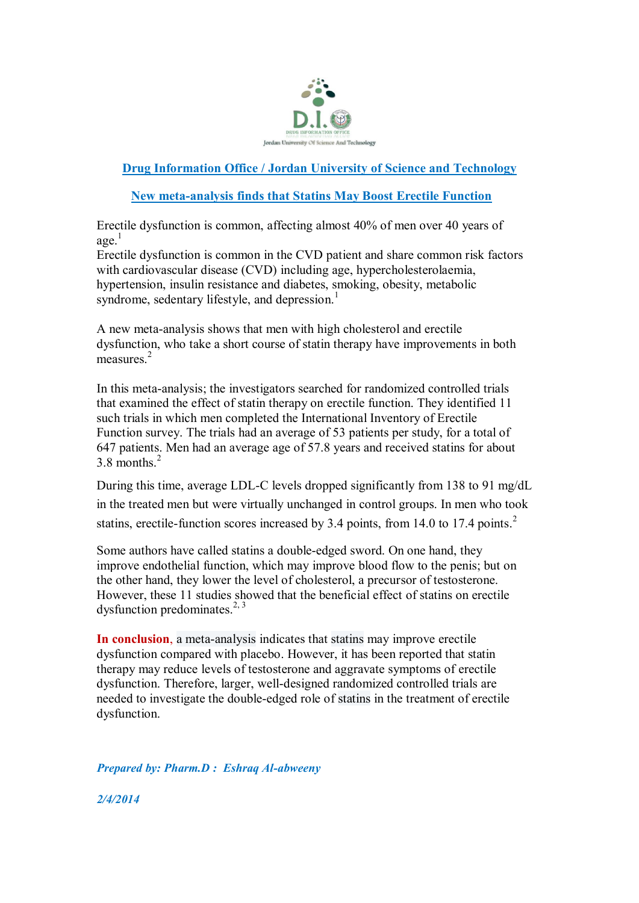

## **Drug Information Office / Jordan University of Science and Technology**

## **New meta-analysis finds that Statins May Boost Erectile Function**

Erectile dysfunction is common, affecting almost 40% of men over 40 years of age. 1

Erectile dysfunction is common in the CVD patient and share common risk factors with cardiovascular disease (CVD) including age, hypercholesterolaemia, hypertension, insulin resistance and diabetes, smoking, obesity, metabolic syndrome, sedentary lifestyle, and depression.<sup>1</sup>

A new meta-analysis shows that men with high cholesterol and erectile dysfunction, who take a short course of statin therapy have improvements in both measures $^2$ 

In this meta-analysis; the investigators searched for randomized controlled trials that examined the effect of statin therapy on erectile function. They identified 11 such trials in which men completed the International Inventory of Erectile Function survey. The trials had an average of 53 patients per study, for a total of 647 patients. Men had an average age of 57.8 years and received statins for about 3.8 months. 2

During this time, average LDL-C levels dropped significantly from 138 to 91 mg/dL in the treated men but were virtually unchanged in control groups. In men who took statins, erectile-function scores increased by 3.4 points, from 14.0 to 17.4 points.<sup>2</sup>

Some authors have called statins a double-edged sword. On one hand, they improve endothelial function, which may improve blood flow to the penis; but on the other hand, they lower the level of cholesterol, a precursor of testosterone. However, these 11 studies showed that the beneficial effect of statins on erectile dysfunction predominates.<sup>2, 3</sup>

**In conclusion**, a meta-analysis indicates that statins may improve erectile dysfunction compared with placebo. However, it has been reported that statin therapy may reduce levels of testosterone and aggravate symptoms of erectile dysfunction. Therefore, larger, well-designed randomized controlled trials are needed to investigate the double-edged role of statins in the treatment of erectile dysfunction.

*Prepared by: Pharm.D : Eshraq Al-abweeny*

*2/4/2014*